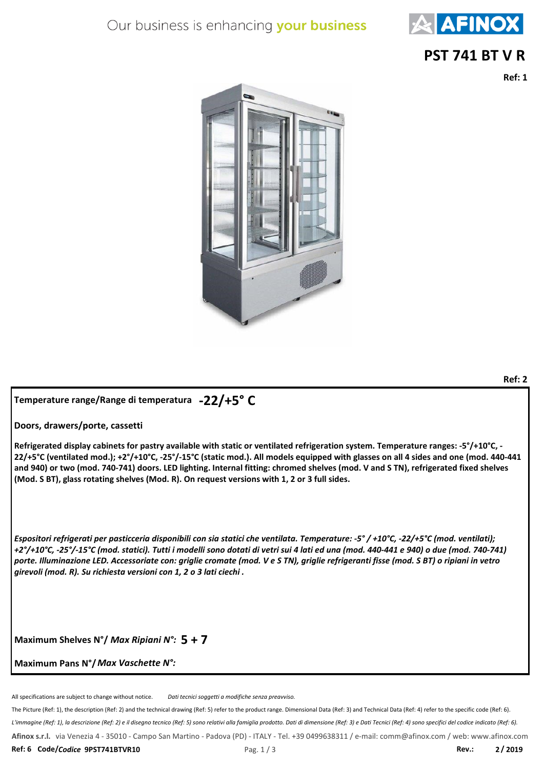# Our business is enhancing your business



#### **PST 741 BT V R**

**Ref: 1**

**Ref: 2**



## **-22/+5° C Temperature range/Range di temperatura**

**Doors, drawers/porte, cassetti**

**Refrigerated display cabinets for pastry available with static or ventilated refrigeration system. Temperature ranges: -5°/+10°C, - 22/+5°C (ventilated mod.); +2°/+10°C, -25°/-15°C (static mod.). All models equipped with glasses on all 4 sides and one (mod. 440-441 and 940) or two (mod. 740-741) doors. LED lighting. Internal fitting: chromed shelves (mod. V and S TN), refrigerated fixed shelves (Mod. S BT), glass rotating shelves (Mod. R). On request versions with 1, 2 or 3 full sides.**

*Espositori refrigerati per pasticceria disponibili con sia statici che ventilata. Temperature: -5° / +10°C, -22/+5°C (mod. ventilati); +2°/+10°C, -25°/-15°C (mod. statici). Tutti i modelli sono dotati di vetri sui 4 lati ed una (mod. 440-441 e 940) o due (mod. 740-741) porte. Illuminazione LED. Accessoriate con: griglie cromate (mod. V e S TN), griglie refrigeranti fisse (mod. S BT) o ripiani in vetro girevoli (mod. R). Su richiesta versioni con 1, 2 o 3 lati ciechi .*

Maximum Shelves N°/ Max Ripiani N°: 5 + 7

**Maximum Pans N°/** *Max Vaschette N°:*

All specifications are subject to change without notice. *Dati tecnici soggetti a modifiche senza preavviso.*

*L'immagine (Ref: 1), la descrizione (Ref: 2) e il disegno tecnico (Ref: 5) sono relativi alla famiglia prodotto. Dati di dimensione (Ref: 3) e Dati Tecnici (Ref: 4) sono specifici del codice indicato (Ref: 6).* The Picture (Ref: 1), the description (Ref: 2) and the technical drawing (Ref: 5) refer to the product range. Dimensional Data (Ref: 3) and Technical Data (Ref: 4) refer to the specific code (Ref: 6). **Afinox s.r.l.** via Venezia 4 - 35010 - Campo San Martino - Padova (PD) - ITALY - Tel. +39 0499638311 / e-mail: comm@afinox.com / web: www.afinox.com **Ref: 6 Code/***Codice* **9PST741BTVR10** Pag. 1 / 3 **Rev.: 2 / 2019**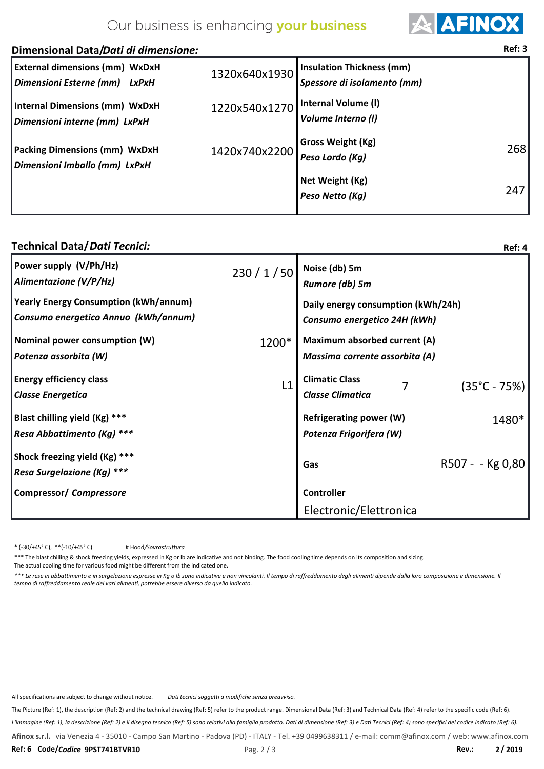## Our business is enhancing your business



#### *Dimensioni Esterne (mm) LxPxH* 1320x640x1930 Packing Dimensions (mm) WxDxH 1420x740x2200 *Dimensioni Imballo (mm) LxPxH* **External dimensions (mm) WxDxH Gross Weight (Kg)** *Peso Lordo (Kg)* 268 **Net Weight (Kg)** *Peso Netto (Kg)* 247 *Spessore di isolamento (mm)* **Insulation Thickness (mm) Internal Volume (l)** *Volume Interno (l)* **Dimensional Data/** *Dati di dimensione:* **Ref: 3 Internal Dimensions (mm) WxDxH** 1220x540x1270 *Dimensioni interne (mm) LxPxH*

#### **Technical Data/** *Dati Tecnici:*

| <b>Technical Data/Dati Tecnici:</b>                                                  |       |                                                                    | Ref: 4                 |
|--------------------------------------------------------------------------------------|-------|--------------------------------------------------------------------|------------------------|
| Power supply (V/Ph/Hz)<br>Alimentazione (V/P/Hz)                                     |       | $230 / 1 / 50$ Noise (db) 5m<br>Rumore (db) 5m                     |                        |
| <b>Yearly Energy Consumption (kWh/annum)</b><br>Consumo energetico Annuo (kWh/annum) |       | Daily energy consumption (kWh/24h)<br>Consumo energetico 24H (kWh) |                        |
| Nominal power consumption (W)<br>  Potenza assorbita (W)                             | 1200* | Maximum absorbed current (A)<br>Massima corrente assorbita (A)     |                        |
| <b>Energy efficiency class</b><br><b>Classe Energetica</b>                           | L1    | <b>Climatic Class</b><br><b>Classe Climatica</b>                   | $(35^{\circ}C - 75\%)$ |
| Blast chilling yield (Kg) ***<br>Resa Abbattimento (Kg) ***                          |       | Refrigerating power (W)<br>Potenza Frigorifera (W)                 | 1480*                  |
| Shock freezing yield (Kg) ***<br>Resa Surgelazione (Kg) ***                          |       | Gas                                                                | R507 - - Kg 0,80       |
| Compressor/ Compressore                                                              |       | <b>Controller</b>                                                  |                        |
|                                                                                      |       | Electronic/Elettronica                                             |                        |

 $*(-30/+45° C), **(-10/+45° C)$ */Sovrastruttura*

\*\*\* The blast chilling & shock freezing yields, expressed in Kg or Ib are indicative and not binding. The food cooling time depends on its composition and sizing. The actual cooling time for various food might be different from the indicated one.

*\*\*\* Le rese in abbattimento e in surgelazione espresse in Kg o lb sono indicative e non vincolanti. Il tempo di raffreddamento degli alimenti dipende dalla loro composizione e dimensione. Il tempo di raffreddamento reale dei vari alimenti, potrebbe essere diverso da quello indicato.*

All specifications are subject to change without notice. *Dati tecnici soggetti a modifiche senza preavviso.*

The Picture (Ref: 1), the description (Ref: 2) and the technical drawing (Ref: 5) refer to the product range. Dimensional Data (Ref: 3) and Technical Data (Ref: 4) refer to the specific code (Ref: 6).

*L'immagine (Ref: 1), la descrizione (Ref: 2) e il disegno tecnico (Ref: 5) sono relativi alla famiglia prodotto. Dati di dimensione (Ref: 3) e Dati Tecnici (Ref: 4) sono specifici del codice indicato (Ref: 6).*

**Afinox s.r.l.** via Venezia 4 - 35010 - Campo San Martino - Padova (PD) - ITALY - Tel. +39 0499638311 / e-mail: comm@afinox.com / web: www.afinox.com

**Ref: 6 Code/***Codice* **9PST741BTVR10** Pag. 2 / 3 **Rev.: 2 / 2019**